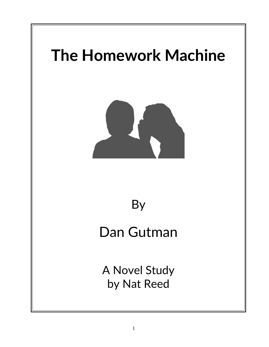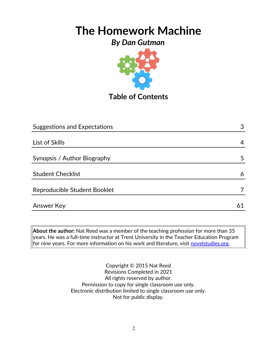## *By Dan Gutman*



**Table of Contents**

| <b>Suggestions and Expectations</b> |    |
|-------------------------------------|----|
|                                     |    |
| List of Skills                      | 4  |
|                                     |    |
| Synopsis / Author Biography         | 5  |
|                                     |    |
| <b>Student Checklist</b>            | 6  |
| Reproducible Student Booklet        |    |
| Answer Key                          | 61 |

**About the author:** Nat Reed was a member of the teaching profession for more than 35 years. He was a full-time instructor at Trent University in the Teacher Education Program for nine years. For more information on his work and literature, visit [novelstudies.org.](http://www.novelstudies.org/)

> Copyright © 2015 Nat Reed Revisions Completed in 2021 All rights reserved by author. Permission to copy for single classroom use only. Electronic distribution limited to single classroom use only. Not for public display.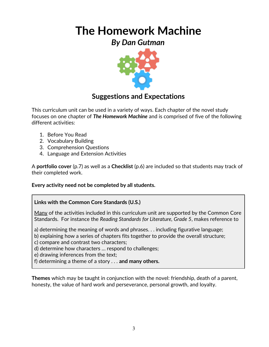*By Dan Gutman*



## **Suggestions and Expectations**

This curriculum unit can be used in a variety of ways. Each chapter of the novel study focuses on one chapter of *The Homework Machine* and is comprised of five of the following different activities:

- 1. Before You Read
- 2. Vocabulary Building
- 3. Comprehension Questions
- 4. Language and Extension Activities

A **portfolio cover** (p.7) as well as a **Checklist** (p.6) are included so that students may track of their completed work.

### **Every activity need not be completed by all students.**

### **Links with the Common Core Standards (U.S.)**

Many of the activities included in this curriculum unit are supported by the Common Core Standards. For instance the *Reading Standards for Literature, Grade 5*, makes reference to

a) determining the meaning of words and phrases. . . including figurative language;

- b) explaining how a series of chapters fits together to provide the overall structure;
- c) compare and contrast two characters;
- d) determine how characters … respond to challenges;
- e) drawing inferences from the text;
- f) determining a theme of a story . . . **and many others.**

**Themes** which may be taught in conjunction with the novel: friendship, death of a parent, honesty, the value of hard work and perseverance, personal growth, and loyalty.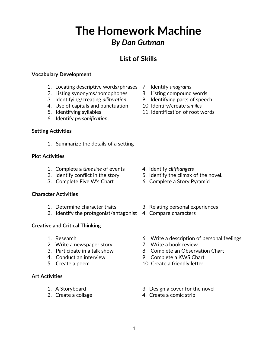# **The Homework Machine** *By Dan Gutman*

## **List of Skills**

#### **Vocabulary Development**

- 1. Locating descriptive words/phrases 7. Identify *anagrams*
- 2. Listing synonyms/homophones 8. Listing compound words
- 3. Identifying/creating *alliteration* 9. Identifying parts of speech
- 4. Use of capitals and punctuation 10. Identify/create *similes*
- 
- 6. Identify *personification*.

#### **Setting Activities**

1. Summarize the details of a setting

#### **Plot Activities**

- 1. Complete a *time line* of events 4. Identify *cliffhangers*
- 
- 

#### **Character Activities**

- 
- 2. Identify the protagonist/antagonist 4. Compare characters

### **Creative and Critical Thinking**

- 
- 2. Write a newspaper story **7. Write a book review**
- 
- 
- 

#### **Art Activities**

- 
- 
- 
- 
- 
- 
- 5. Identifying syllables 11. Identification of root words

- 
- 2. Identify conflict in the story 5. Identify the climax of the novel.
- 3. Complete Five W's Chart 6. Complete a Story Pyramid
- 1. Determine character traits 3. Relating personal experiences
	-
- 1. Research 6. Write a description of personal feelings
	-
- 3. Participate in a talk show 8. Complete an Observation Chart
- 4. Conduct an interview 9. Complete a KWS Chart
- 5. Create a poem 10. Create a friendly letter.
- 1. A Storyboard 3. Design a cover for the novel
- 2. Create a collage 4. Create a comic strip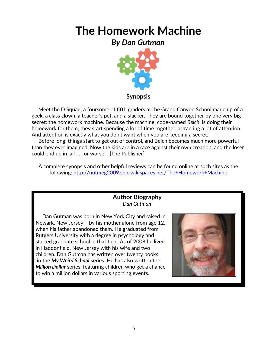*By Dan Gutman*



**Synopsis**

 Meet the D Squad, a foursome of fifth graders at the Grand Canyon School made up of a geek, a class clown, a teacher's pet, and a slacker. They are bound together by one very big secret: the homework machine. Because the machine, code-named *Belch*, is doing their homework for them, they start spending a lot of time together, attracting a lot of attention. And attention is exactly what you don't want when you are keeping a secret.

 Before long, things start to get out of control, and Belch becomes much more powerful than they ever imagined. Now the kids are in a race against their own creation, and the loser could end up in jail . . . or worse! [The Publisher]

A complete synopsis and other helpful reviews can be found online at such sites as the following:<http://nutmeg2009.sblc.wikispaces.net/The+Homework+Machine>

## **Author Biography** *Dan Gutman*

 Dan Gutman was born in New York City and raised in Newark, New Jersey – by his mother alone from age 12, when his father abandoned them. He graduated from Rutgers University with a degree in psychology and started graduate school in that field. As of 2008 he lived in Haddonfield, New Jersey with his wife and two children. Dan Gutman has written over twenty books in the *My Weird School* series. He has also written the *Million Dollar* series, featuring children who get a chance to win a million dollars in various sporting events.

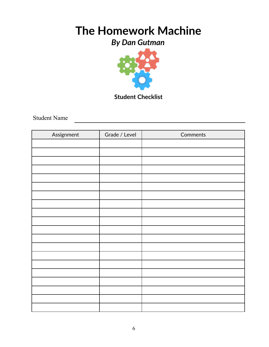## *By Dan Gutman*



## **Student Checklist**

Student Name

| Assignment | Grade / Level | Comments |
|------------|---------------|----------|
|            |               |          |
|            |               |          |
|            |               |          |
|            |               |          |
|            |               |          |
|            |               |          |
|            |               |          |
|            |               |          |
|            |               |          |
|            |               |          |
|            |               |          |
|            |               |          |
|            |               |          |
|            |               |          |
|            |               |          |
|            |               |          |
|            |               |          |
|            |               |          |
|            |               |          |
|            |               |          |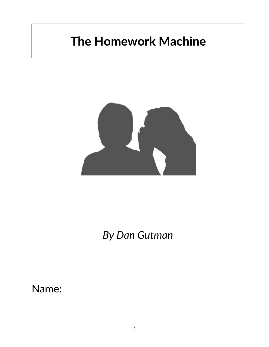

# *By Dan Gutman*

Name: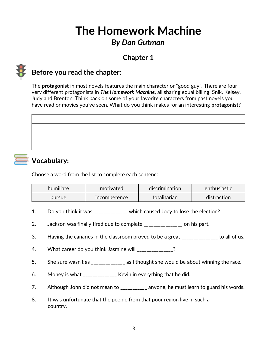# **The Homework Machine** *By Dan Gutman*

## **Chapter 1**



## **Before you read the chapter**:

The **protagonist** in most novels features the main character or "good guy". There are four very different protagonists in *The Homework Machine*, all sharing equal billing: Snik, Kelsey, Judy and Brenton. Think back on some of your favorite characters from past novels you have read or movies you've seen. What do you think makes for an interesting **protagonist**?

## **Vocabulary:**

Choose a word from the list to complete each sentence.

| humiliate | motivated           | discrimination | $\epsilon$ enthusiastic $\epsilon$ |
|-----------|---------------------|----------------|------------------------------------|
| pursue    | <i>incompetence</i> | totalitarian   | distraction                        |

- 1. Do you think it was \_\_\_\_\_\_\_\_\_\_\_\_\_\_ which caused Joey to lose the election?
- 2. Jackson was finally fired due to complete \_\_\_\_\_\_\_\_\_\_\_\_\_\_\_\_ on his part.
- 3. Having the canaries in the classroom proved to be a great \_\_\_\_\_\_\_\_\_\_\_\_\_\_\_ to all of us.
- 4. What career do you think Jasmine will  $\sim$  2
- 5. She sure wasn't as \_\_\_\_\_\_\_\_\_\_\_\_\_\_ as I thought she would be about winning the race.
- 6. Money is what \_\_\_\_\_\_\_\_\_\_\_\_\_\_ Kevin in everything that he did.
- 7. Although John did not mean to \_\_\_\_\_\_\_\_\_\_ anyone, he must learn to guard his words.
- 8. It was unfortunate that the people from that poor region live in such a \_\_\_\_\_\_\_\_\_\_\_\_ country.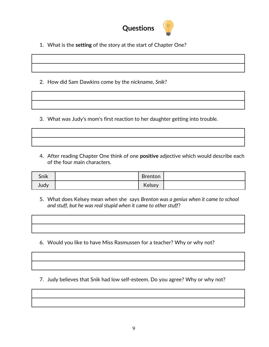

1. What is the **setting** of the story at the start of Chapter One?

2. How did Sam Dawkins come by the nickname, *Snik*?

3. What was Judy's mom's first reaction to her daughter getting into trouble.

4. After reading Chapter One think of one **positive** adjective which would describe each of the four main characters.

| Snik | <b>Brenton</b> |  |
|------|----------------|--|
| Judy | Kelsey         |  |

5. What does Kelsey mean when she says *Brenton was a genius when it came to school and stuff, but he was real stupid when it came to other stuff*?

6. Would you like to have Miss Rasmussen for a teacher? Why or why not?

7. Judy believes that Snik had low self-esteem. Do you agree? Why or why not?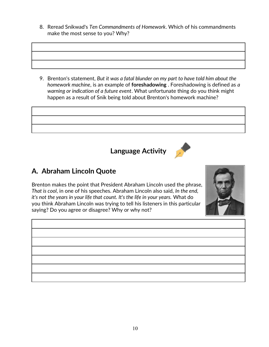8. Reread Snikwad's *Ten Commandments of Homework*. Which of his commandments make the most sense to you? Why?

9. Brenton's statement, *But it was a fatal blunder on my part to have told him about the homework machine*, is an example of **foreshadowing** . Foreshadowing is defined as *a warning or indication of a future event*. What unfortunate thing do you think might happen as a result of Snik being told about Brenton's homework machine?



**Language Activity**



## **A. Abraham Lincoln Quote**

Brenton makes the point that President Abraham Lincoln used the phrase, *That is cool*, in one of his speeches. Abraham Lincoln also said, *In the end, it's not the years in your life that count. It's the life in your years.* What do you think Abraham Lincoln was trying to tell his listeners in this particular saying? Do you agree or disagree? Why or why not?



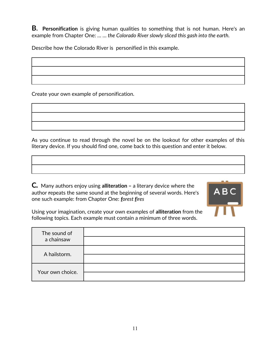**B. Personification** is giving human qualities to something that is not human. Here's an example from Chapter One: … *… the Colorado River slowly sliced this gash into the earth.*

Describe how the Colorado River is personified in this example.

Create your own example of personification.

As you continue to read through the novel be on the lookout for other examples of this literary device. If you should find one, come back to this question and enter it below.

**C***.* Many authors enjoy using **alliteration –** a literary device where the author **r**epeats the same sound at the beginning of several words. Here's one such example: from Chapter One: *forest fires*



Using your imagination, create your own examples of **alliteration** from the following topics. Each example must contain a minimum of three words.

| The sound of<br>a chainsaw |  |
|----------------------------|--|
| A hailstorm.               |  |
| Your own choice.           |  |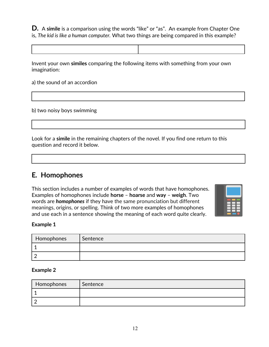**D.** A **simile** is a comparison using the words "like" or "as". An example from Chapter One is, *The kid is like a human computer.* What two things are being compared in this example?

Invent your own **similes** comparing the following items with something from your own imagination:

a) the sound of an accordion

b) two noisy boys swimming

Look for a **simile** in the remaining chapters of the novel. If you find one return to this question and record it below.

## **E***.* **Homophones**

This section includes a number of examples of words that have homophones. Examples of homophones include **horse** – **hoarse** and **way** – **weigh**. Two words are *homophones* if they have the same pronunciation but different meanings, origins, or spelling. Think of two more examples of homophones and use each in a sentence showing the meaning of each word quite clearly.



#### **Example 1**

| Homophones | Sentence |
|------------|----------|
|            |          |
|            |          |

#### **Example 2**

| Homophones | Sentence |
|------------|----------|
|            |          |
|            |          |